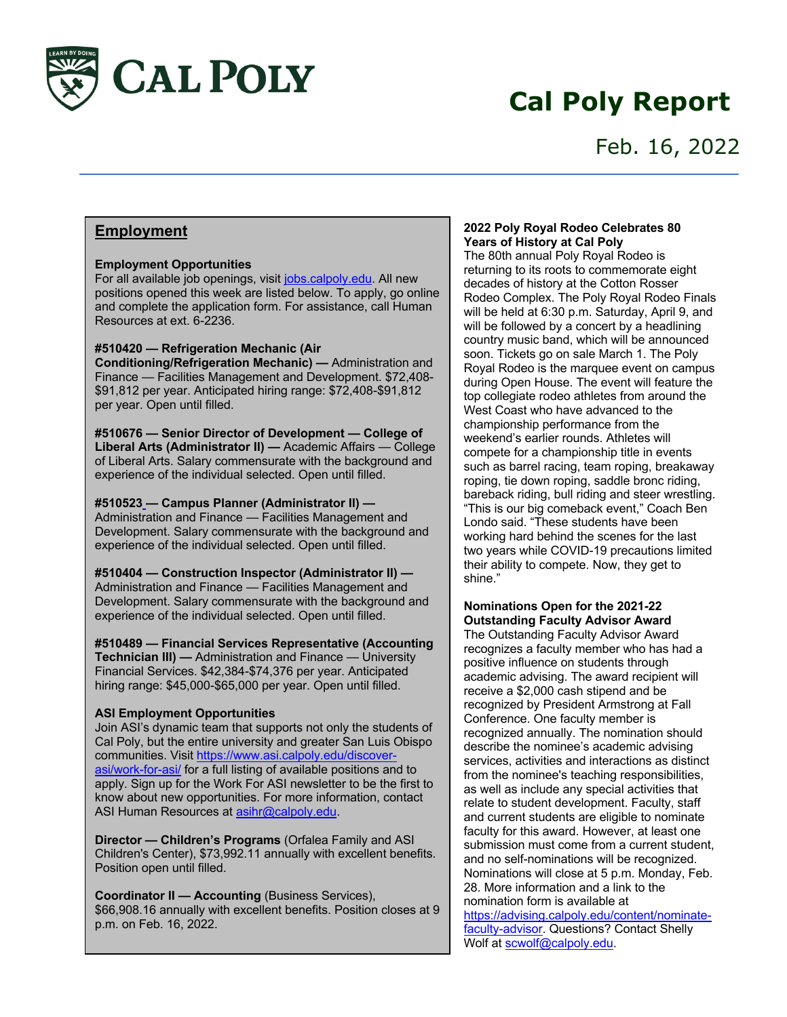

# **Cal Poly Report**

# Feb. 16, 2022

# **Employment**

# **Employment Opportunities**

For all available job openings, visit jobs.calpoly.edu. All new positions opened this week are listed below. To apply, go online and complete the application form. For assistance, call Human Resources at ext. 6-2236.

### **#510420 — Refrigeration Mechanic (Air**

**Conditioning/Refrigeration Mechanic) —** Administration and Finance — Facilities Management and Development. \$72,408- \$91,812 per year. Anticipated hiring range: \$72,408-\$91,812 per year. Open until filled.

**#510676 — Senior Director of Development — College of Liberal Arts (Administrator II) —** Academic Affairs — College of Liberal Arts. Salary commensurate with the background and experience of the individual selected. Open until filled.

### **#510523 — Campus Planner (Administrator II) —**

Administration and Finance — Facilities Management and Development. Salary commensurate with the background and experience of the individual selected. Open until filled.

**#510404 — Construction Inspector (Administrator II) —** Administration and Finance — Facilities Management and Development. Salary commensurate with the background and experience of the individual selected. Open until filled.

#### **#510489 — Financial Services Representative (Accounting Technician III) —** Administration and Finance — University

Financial Services. \$42,384-\$74,376 per year. Anticipated hiring range: \$45,000-\$65,000 per year. Open until filled.

# **ASI Employment Opportunities**

Join ASI's dynamic team that supports not only the students of Cal Poly, but the entire university and greater San Luis Obispo communities. Visit https://www.asi.calpoly.edu/discoverasi/work-for-asi/ for a full listing of available positions and to apply. Sign up for the Work For ASI newsletter to be the first to know about new opportunities. For more information, contact ASI Human Resources at asihr@calpoly.edu.

**Director — Children's Programs** (Orfalea Family and ASI Children's Center), \$73,992.11 annually with excellent benefits. Position open until filled.

**Coordinator II — Accounting** (Business Services), \$66,908.16 annually with excellent benefits. Position closes at 9 p.m. on Feb. 16, 2022.

# **2022 Poly Royal Rodeo Celebrates 80 Years of History at Cal Poly**

The 80th annual Poly Royal Rodeo is returning to its roots to commemorate eight decades of history at the Cotton Rosser Rodeo Complex. The Poly Royal Rodeo Finals will be held at 6:30 p.m. Saturday, April 9, and will be followed by a concert by a headlining country music band, which will be announced soon. Tickets go on sale March 1. The Poly Royal Rodeo is the marquee event on campus during Open House. The event will feature the top collegiate rodeo athletes from around the West Coast who have advanced to the championship performance from the weekend's earlier rounds. Athletes will compete for a championship title in events such as barrel racing, team roping, breakaway roping, tie down roping, saddle bronc riding, bareback riding, bull riding and steer wrestling. "This is our big comeback event," Coach Ben Londo said. "These students have been working hard behind the scenes for the last two years while COVID-19 precautions limited their ability to compete. Now, they get to shine."

# **Nominations Open for the 2021-22 Outstanding Faculty Advisor Award**

The Outstanding Faculty Advisor Award recognizes a faculty member who has had a positive influence on students through academic advising. The award recipient will receive a \$2,000 cash stipend and be recognized by President Armstrong at Fall Conference. One faculty member is recognized annually. The nomination should describe the nominee's academic advising services, activities and interactions as distinct from the nominee's teaching responsibilities, as well as include any special activities that relate to student development. Faculty, staff and current students are eligible to nominate faculty for this award. However, at least one submission must come from a current student, and no self-nominations will be recognized. Nominations will close at 5 p.m. Monday, Feb. 28. More information and a link to the nomination form is available at https://advising.calpoly.edu/content/nominatefaculty-advisor. Questions? Contact Shelly Wolf at scwolf@calpoly.edu.